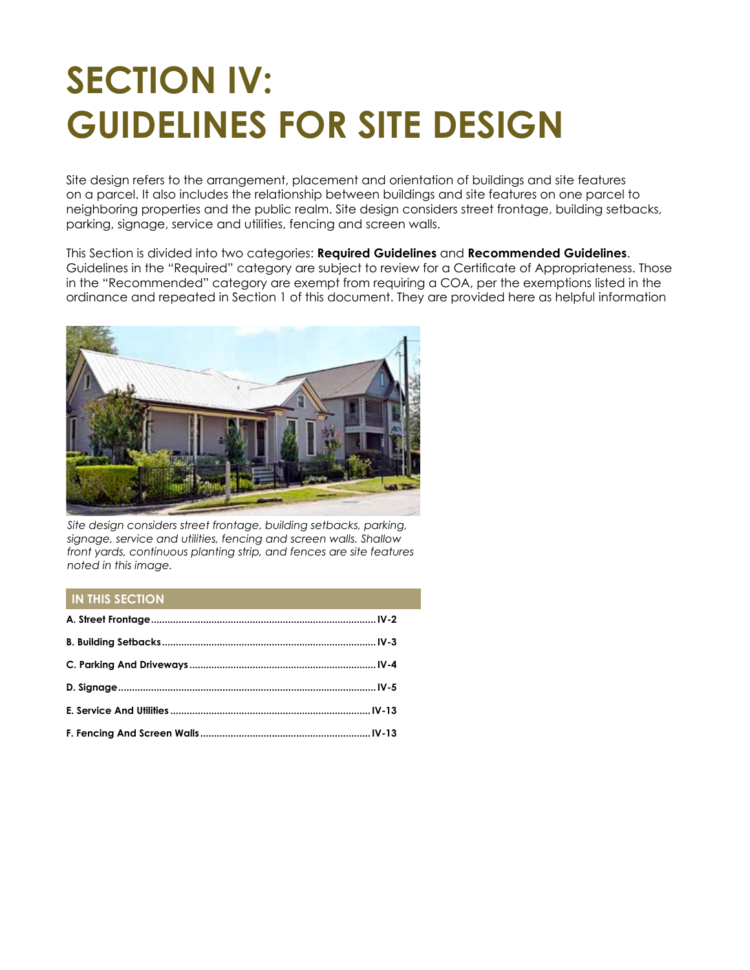# **SECTION IV: GUIDELINES FOR SITE DESIGN**

Site design refers to the arrangement, placement and orientation of buildings and site features on a parcel. It also includes the relationship between buildings and site features on one parcel to neighboring properties and the public realm. Site design considers street frontage, building setbacks, parking, signage, service and utilities, fencing and screen walls.

This Section is divided into two categories: **Required Guidelines** and **Recommended Guidelines**. Guidelines in the "Required" category are subject to review for a Certificate of Appropriateness. Those in the "Recommended" category are exempt from requiring a COA, per the exemptions listed in the ordinance and repeated in Section 1 of this document. They are provided here as helpful information



*Site design considers street frontage, building setbacks, parking, signage, service and utilities, fencing and screen walls. Shallow front yards, continuous planting strip, and fences are site features noted in this image.*

#### **IN THIS SECTION**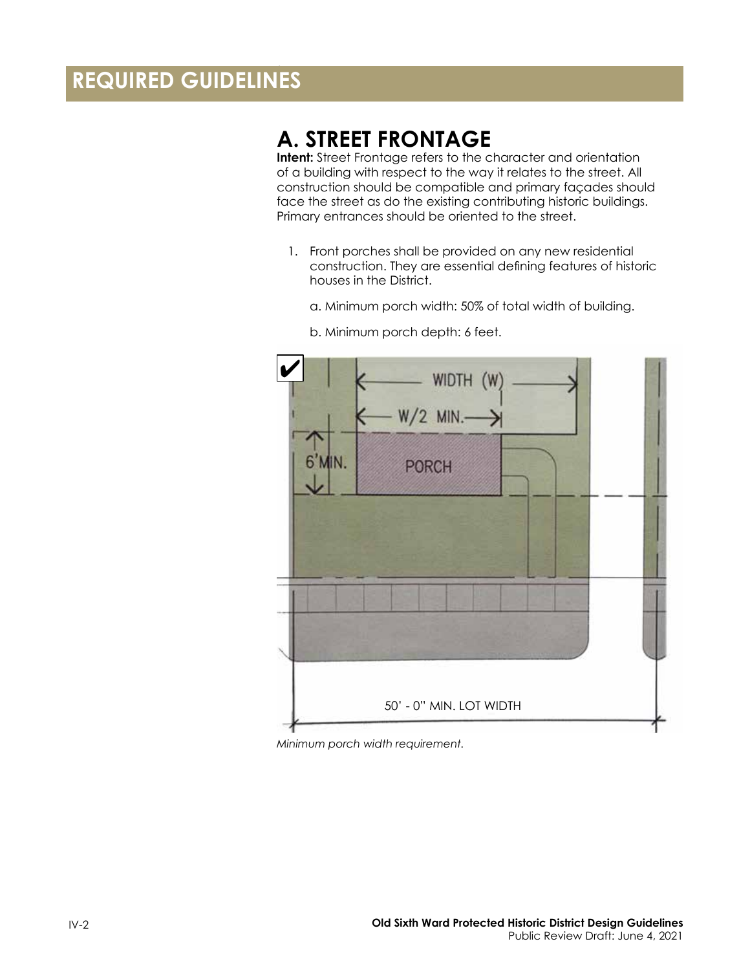# <span id="page-1-0"></span>**REQUIRED GUIDELINES**

### **A. STREET FRONTAGE**

**Intent:** Street Frontage refers to the character and orientation of a building with respect to the way it relates to the street. All construction should be compatible and primary façades should face the street as do the existing contributing historic buildings. Primary entrances should be oriented to the street.

- 1. Front porches shall be provided on any new residential construction. They are essential defining features of historic houses in the District.
	- a. Minimum porch width: 50% of total width of building.



b. Minimum porch depth: 6 feet.

*Minimum porch width requirement.*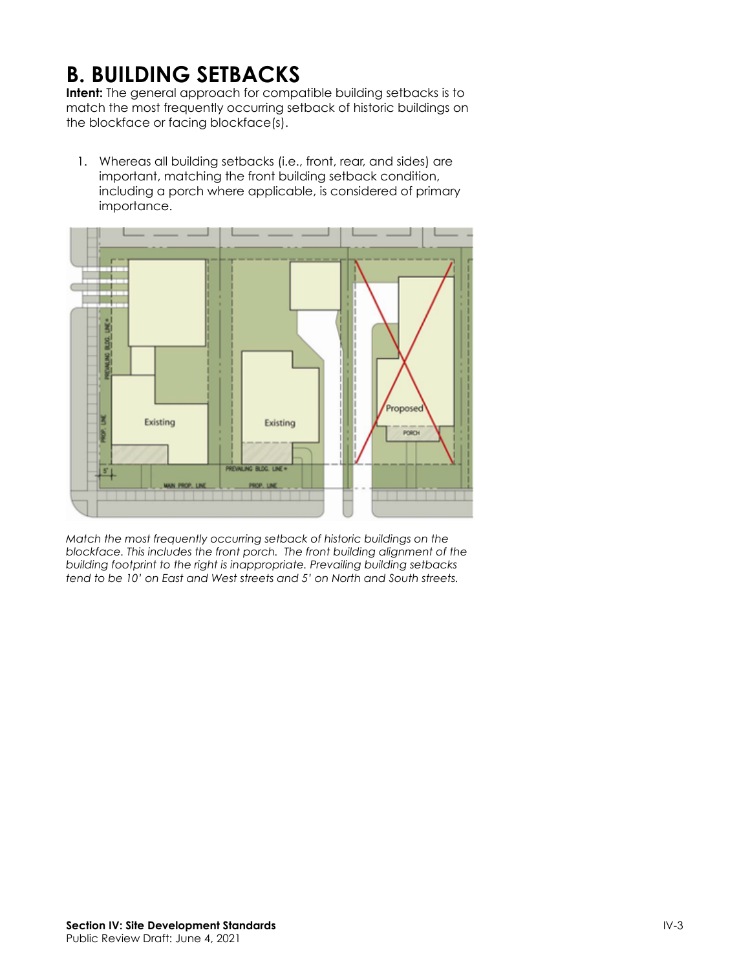# <span id="page-2-0"></span>**B. BUILDING SETBACKS**

**Intent:** The general approach for compatible building setbacks is to match the most frequently occurring setback of historic buildings on the blockface or facing blockface(s).

1. Whereas all building setbacks (i.e., front, rear, and sides) are important, matching the front building setback condition, including a porch where applicable, is considered of primary importance.



*Match the most frequently occurring setback of historic buildings on the blockface. This includes the front porch. The front building alignment of the building footprint to the right is inappropriate. Prevailing building setbacks tend to be 10' on East and West streets and 5' on North and South streets.*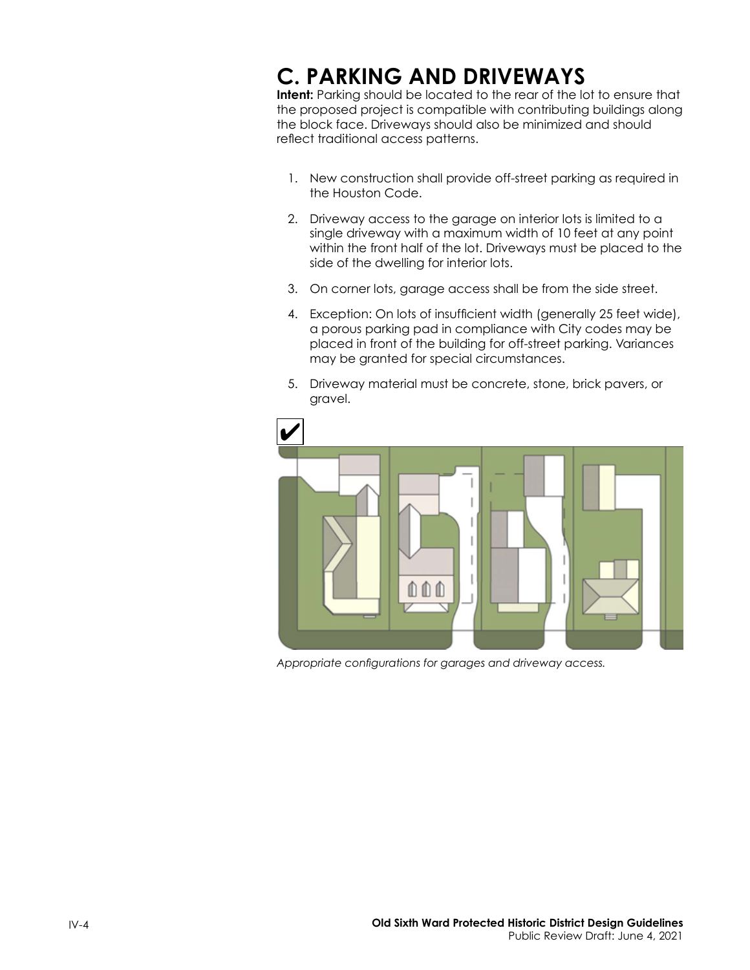# <span id="page-3-0"></span>**C. PARKING AND DRIVEWAYS**

**Intent:** Parking should be located to the rear of the lot to ensure that the proposed project is compatible with contributing buildings along the block face. Driveways should also be minimized and should reflect traditional access patterns.

- 1. New construction shall provide off-street parking as required in the Houston Code.
- 2. Driveway access to the garage on interior lots is limited to a single driveway with a maximum width of 10 feet at any point within the front half of the lot. Driveways must be placed to the side of the dwelling for interior lots.
- 3. On corner lots, garage access shall be from the side street.
- 4. Exception: On lots of insufficient width (generally 25 feet wide), a porous parking pad in compliance with City codes may be placed in front of the building for off-street parking. Variances may be granted for special circumstances.
- 5. Driveway material must be concrete, stone, brick pavers, or gravel.



*Appropriate configurations for garages and driveway access.*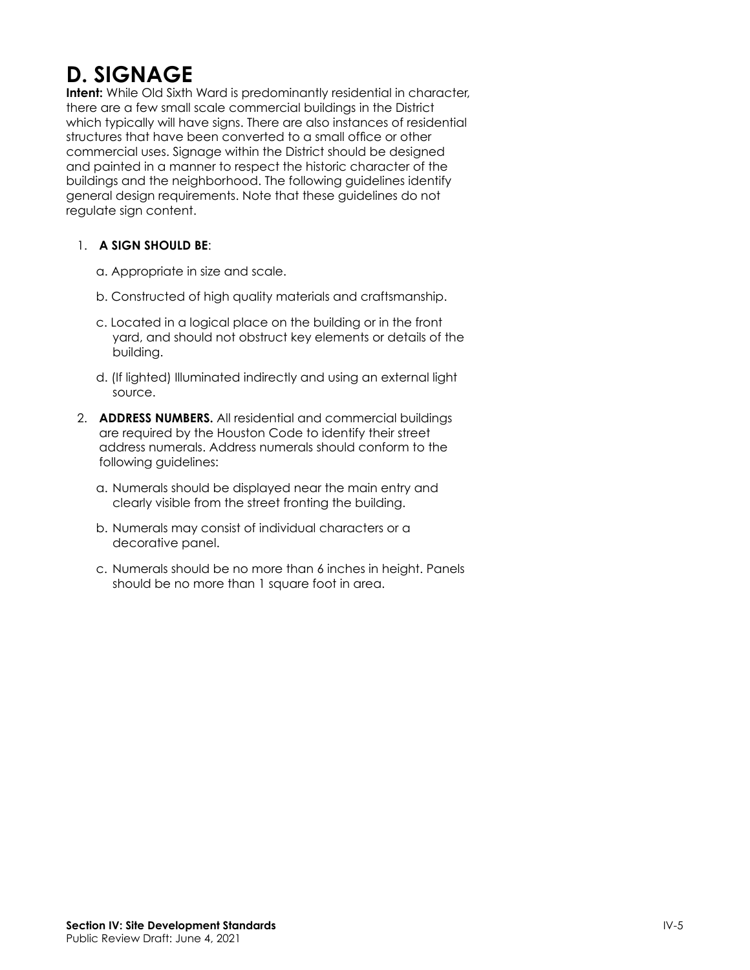# <span id="page-4-0"></span>**D. SIGNAGE**

**Intent:** While Old Sixth Ward is predominantly residential in character, there are a few small scale commercial buildings in the District which typically will have signs. There are also instances of residential structures that have been converted to a small office or other commercial uses. Signage within the District should be designed and painted in a manner to respect the historic character of the buildings and the neighborhood. The following guidelines identify general design requirements. Note that these guidelines do not regulate sign content.

#### 1. **A SIGN SHOULD BE**:

- a. Appropriate in size and scale.
- b. Constructed of high quality materials and craftsmanship.
- c. Located in a logical place on the building or in the front yard, and should not obstruct key elements or details of the building.
- d. (If lighted) Illuminated indirectly and using an external light source.
- 2. **ADDRESS NUMBERS.** All residential and commercial buildings are required by the Houston Code to identify their street address numerals. Address numerals should conform to the following guidelines:
	- a. Numerals should be displayed near the main entry and clearly visible from the street fronting the building.
	- b. Numerals may consist of individual characters or a decorative panel.
	- c. Numerals should be no more than 6 inches in height. Panels should be no more than 1 square foot in area.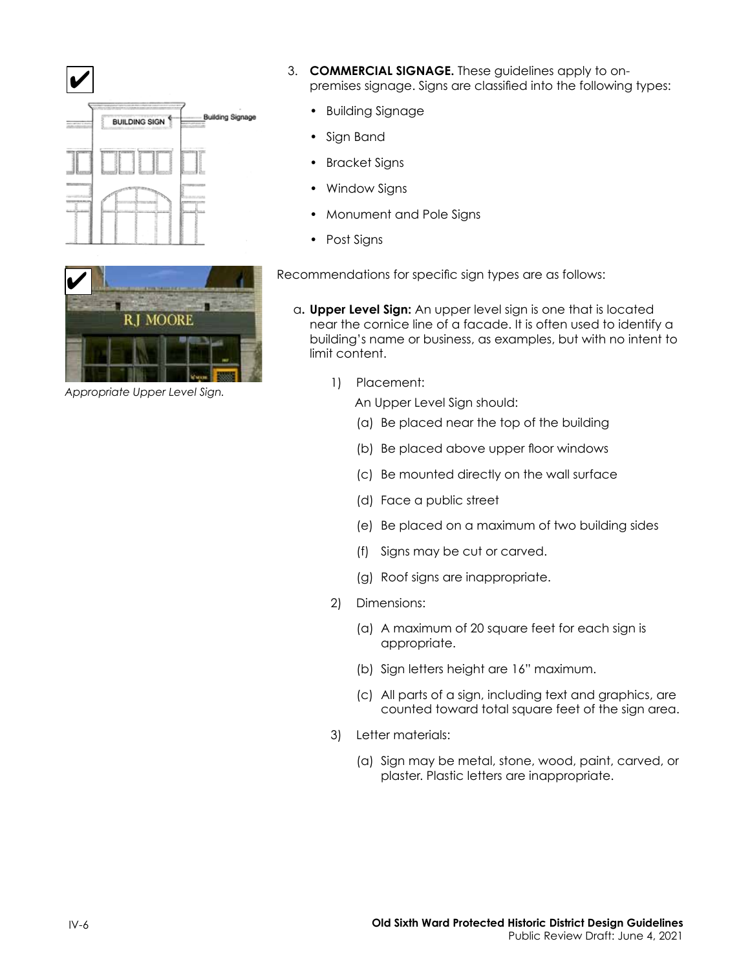



*Appropriate Upper Level Sign.*

- 3. **COMMERCIAL SIGNAGE.** These guidelines apply to onpremises signage. Signs are classified into the following types:
	- Building Signage
	- Sign Band
	- Bracket Signs
	- Window Signs
	- Monument and Pole Signs
	- Post Signs

Recommendations for specific sign types are as follows:

- a**. Upper Level Sign:** An upper level sign is one that is located near the cornice line of a facade. It is often used to identify a building's name or business, as examples, but with no intent to limit content.
	- 1) Placement:
		- An Upper Level Sign should:
		- (a) Be placed near the top of the building
		- (b) Be placed above upper floor windows
		- (c) Be mounted directly on the wall surface
		- (d) Face a public street
		- (e) Be placed on a maximum of two building sides
		- (f) Signs may be cut or carved.
		- (g) Roof signs are inappropriate.
	- 2) Dimensions:
		- (a) A maximum of 20 square feet for each sign is appropriate.
		- (b) Sign letters height are 16" maximum.
		- (c) All parts of a sign, including text and graphics, are counted toward total square feet of the sign area.
	- 3) Letter materials:
		- (a) Sign may be metal, stone, wood, paint, carved, or plaster. Plastic letters are inappropriate.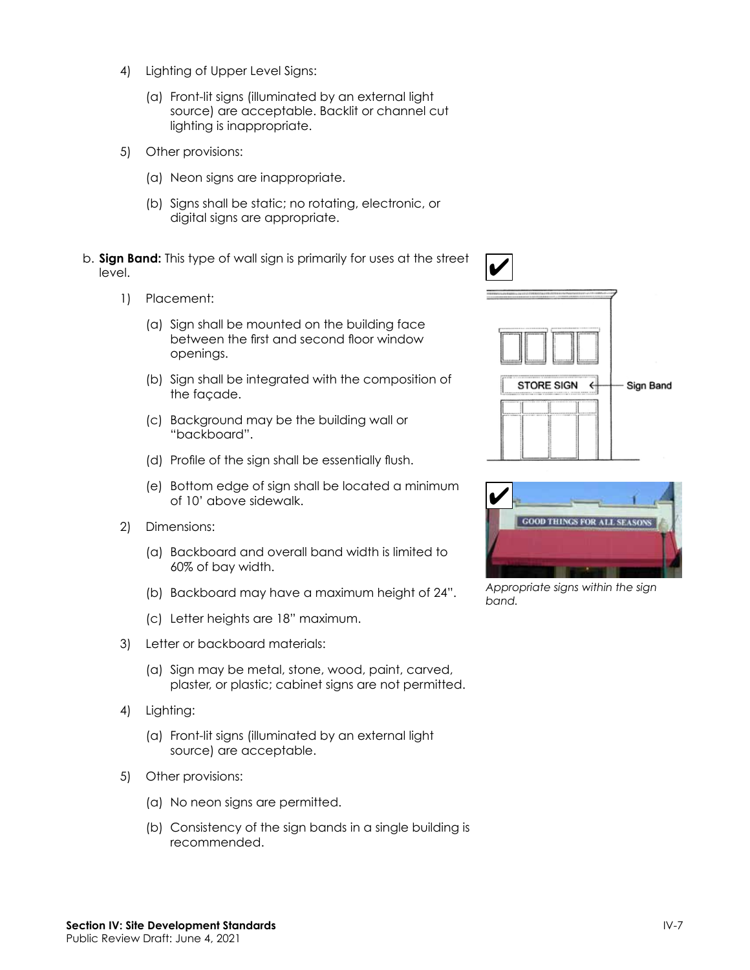- 4) Lighting of Upper Level Signs:
	- (a) Front-lit signs (illuminated by an external light source) are acceptable. Backlit or channel cut lighting is inappropriate.
- 5) Other provisions:
	- (a) Neon signs are inappropriate.
	- (b) Signs shall be static; no rotating, electronic, or digital signs are appropriate.
- b. **Sign Band:** This type of wall sign is primarily for uses at the street level.
	- 1) Placement:
		- (a) Sign shall be mounted on the building face between the first and second floor window openings.
		- (b) Sign shall be integrated with the composition of the façade.
		- (c) Background may be the building wall or "backboard".
		- (d) Profile of the sign shall be essentially flush.
		- (e) Bottom edge of sign shall be located a minimum of 10' above sidewalk.
	- 2) Dimensions:
		- (a) Backboard and overall band width is limited to 60% of bay width.
		- (b) Backboard may have a maximum height of 24".
		- (c) Letter heights are 18" maximum.
	- 3) Letter or backboard materials:
		- (a) Sign may be metal, stone, wood, paint, carved, plaster, or plastic; cabinet signs are not permitted.
	- 4) Lighting:
		- (a) Front-lit signs (illuminated by an external light source) are acceptable.
	- 5) Other provisions:
		- (a) No neon signs are permitted.
		- (b) Consistency of the sign bands in a single building is recommended.





*Appropriate signs within the sign band.*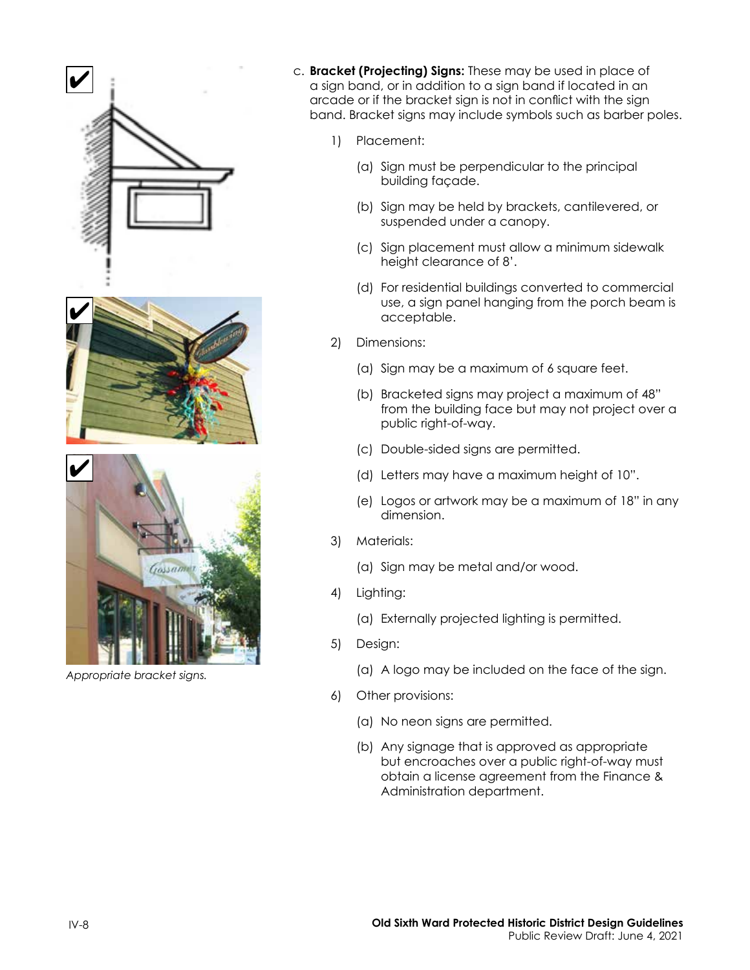





*Appropriate bracket signs.*

- c. **Bracket (Projecting) Signs:** These may be used in place of a sign band, or in addition to a sign band if located in an arcade or if the bracket sign is not in conflict with the sign band. Bracket signs may include symbols such as barber poles.
	- 1) Placement:
		- (a) Sign must be perpendicular to the principal building façade.
		- (b) Sign may be held by brackets, cantilevered, or suspended under a canopy.
		- (c) Sign placement must allow a minimum sidewalk height clearance of 8'.
		- (d) For residential buildings converted to commercial use, a sign panel hanging from the porch beam is acceptable.
	- 2) Dimensions:
		- (a) Sign may be a maximum of 6 square feet.
		- (b) Bracketed signs may project a maximum of 48" from the building face but may not project over a public right-of-way.
		- (c) Double-sided signs are permitted.
		- (d) Letters may have a maximum height of 10".
		- (e) Logos or artwork may be a maximum of 18" in any dimension.
	- 3) Materials:
		- (a) Sign may be metal and/or wood.
	- 4) Lighting:
		- (a) Externally projected lighting is permitted.
	- 5) Design:
		- (a) A logo may be included on the face of the sign.
	- 6) Other provisions:
		- (a) No neon signs are permitted.
		- (b) Any signage that is approved as appropriate but encroaches over a public right-of-way must obtain a license agreement from the Finance & Administration department.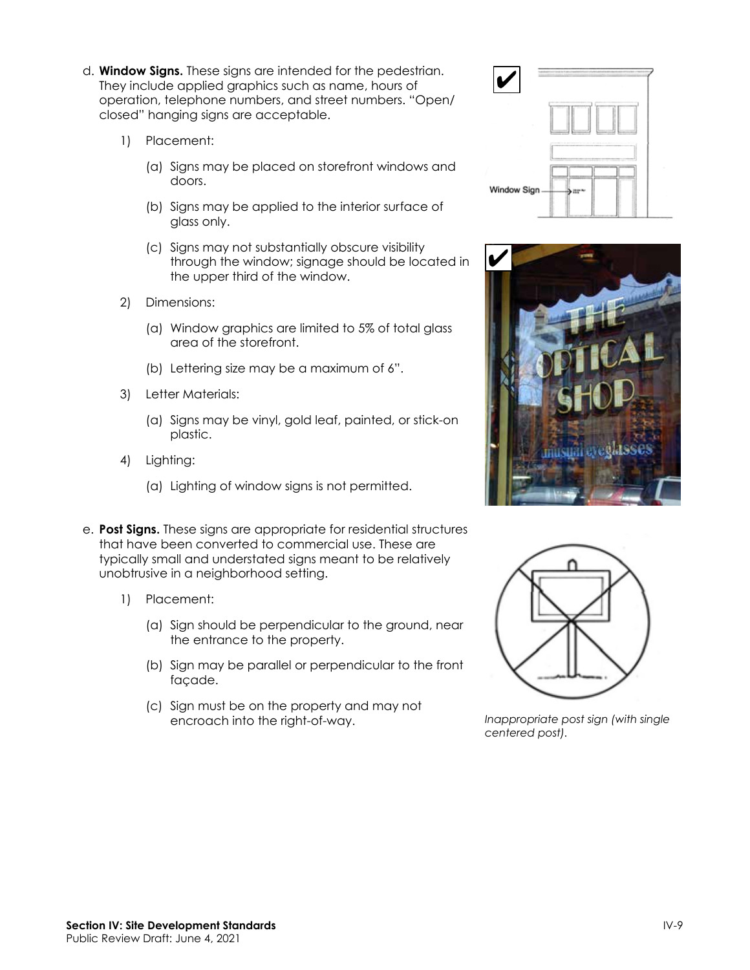- d. **Window Signs.** These signs are intended for the pedestrian. They include applied graphics such as name, hours of operation, telephone numbers, and street numbers. "Open/ closed" hanging signs are acceptable.
	- 1) Placement:
		- (a) Signs may be placed on storefront windows and doors.
		- (b) Signs may be applied to the interior surface of glass only.
		- (c) Signs may not substantially obscure visibility through the window; signage should be located in the upper third of the window.
	- 2) Dimensions:
		- (a) Window graphics are limited to 5% of total glass area of the storefront.
		- (b) Lettering size may be a maximum of 6".
	- 3) Letter Materials:
		- (a) Signs may be vinyl, gold leaf, painted, or stick-on plastic.
	- 4) Lighting:
		- (a) Lighting of window signs is not permitted.
- e. **Post Signs.** These signs are appropriate for residential structures that have been converted to commercial use. These are typically small and understated signs meant to be relatively unobtrusive in a neighborhood setting.
	- 1) Placement:
		- (a) Sign should be perpendicular to the ground, near the entrance to the property.
		- (b) Sign may be parallel or perpendicular to the front façade.
		- (c) Sign must be on the property and may not encroach into the right-of-way.







*Inappropriate post sign (with single centered post).*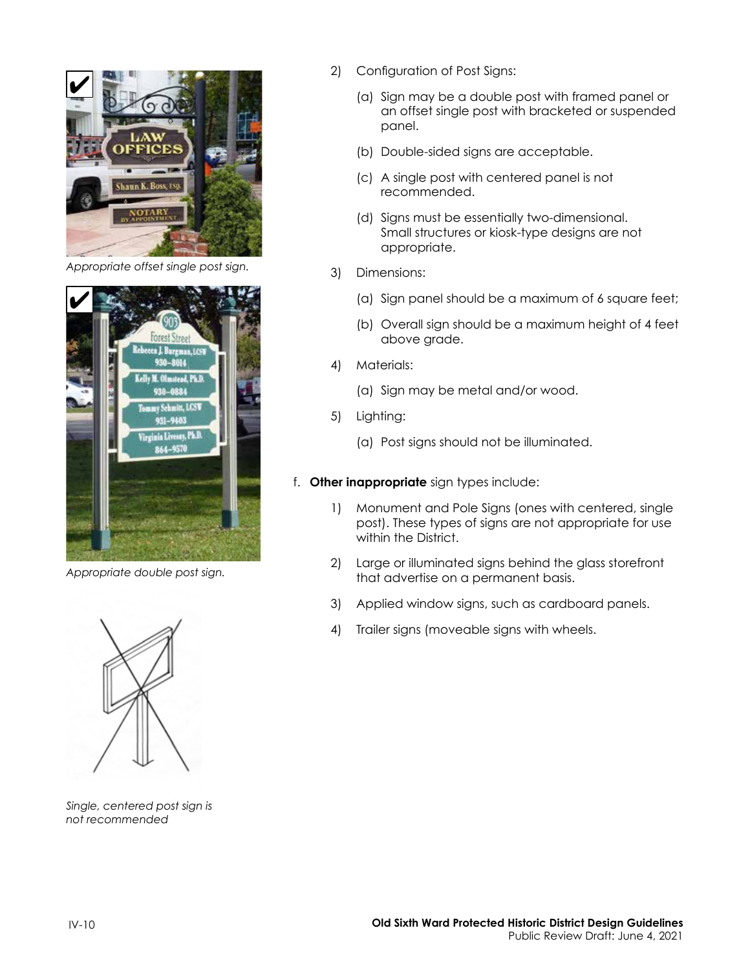

*Appropriate offset single post sign.*



*Appropriate double post sign.*



*Single, centered post sign is not recommended*

- 2) Configuration of Post Signs:
	- (a) Sign may be a double post with framed panel or an offset single post with bracketed or suspended panel.
	- (b) Double-sided signs are acceptable.
	- (c) A single post with centered panel is not recommended.
	- (d) Signs must be essentially two-dimensional. Small structures or kiosk-type designs are not appropriate.
- 3) Dimensions:
	- (a) Sign panel should be a maximum of 6 square feet;
	- (b) Overall sign should be a maximum height of 4 feet above grade.
- 4) Materials:
	- (a) Sign may be metal and/or wood.
- 5) Lighting:
	- (a) Post signs should not be illuminated.
- f. **Other inappropriate** sign types include:
	- 1) Monument and Pole Signs (ones with centered, single post). These types of signs are not appropriate for use within the District.
	- 2) Large or illuminated signs behind the glass storefront that advertise on a permanent basis.
	- 3) Applied window signs, such as cardboard panels.
	- 4) Trailer signs (moveable signs with wheels.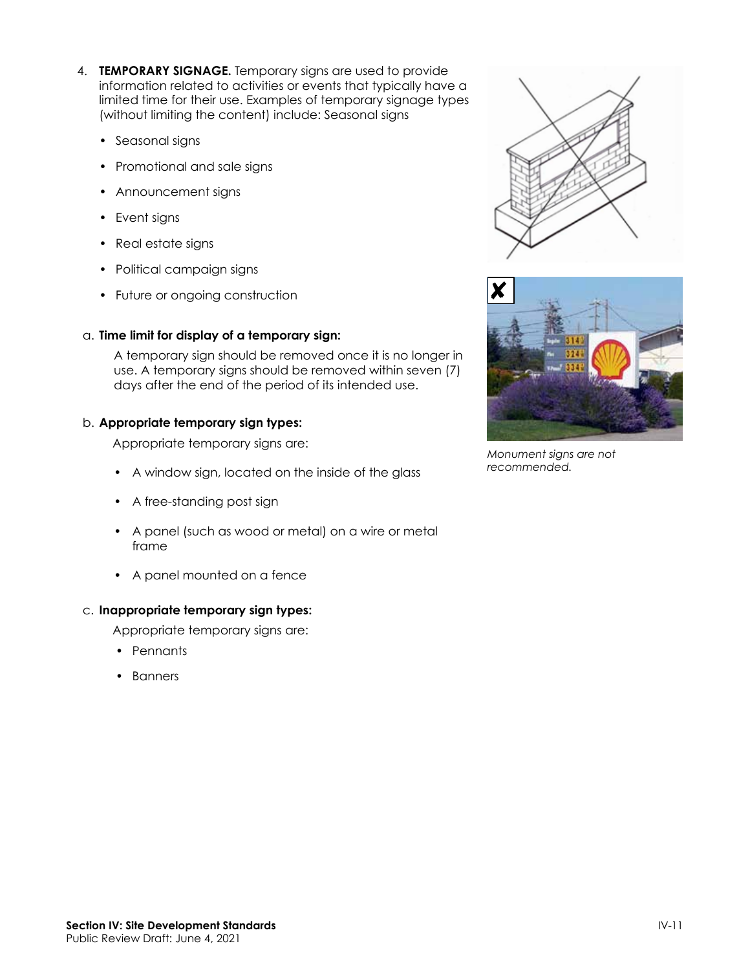- 4. **TEMPORARY SIGNAGE.** Temporary signs are used to provide information related to activities or events that typically have a limited time for their use. Examples of temporary signage types (without limiting the content) include: Seasonal signs
	- Seasonal signs
	- Promotional and sale signs
	- Announcement signs
	- Event signs
	- Real estate signs
	- Political campaign signs
	- Future or ongoing construction

#### a. **Time limit for display of a temporary sign:**

A temporary sign should be removed once it is no longer in use. A temporary signs should be removed within seven (7) days after the end of the period of its intended use.

#### b. **Appropriate temporary sign types:**

Appropriate temporary signs are:

- A window sign, located on the inside of the glass
- A free-standing post sign
- A panel (such as wood or metal) on a wire or metal frame
- A panel mounted on a fence

#### c. **Inappropriate temporary sign types:**

Appropriate temporary signs are:

- Pennants
- Banners





*Monument signs are not recommended.*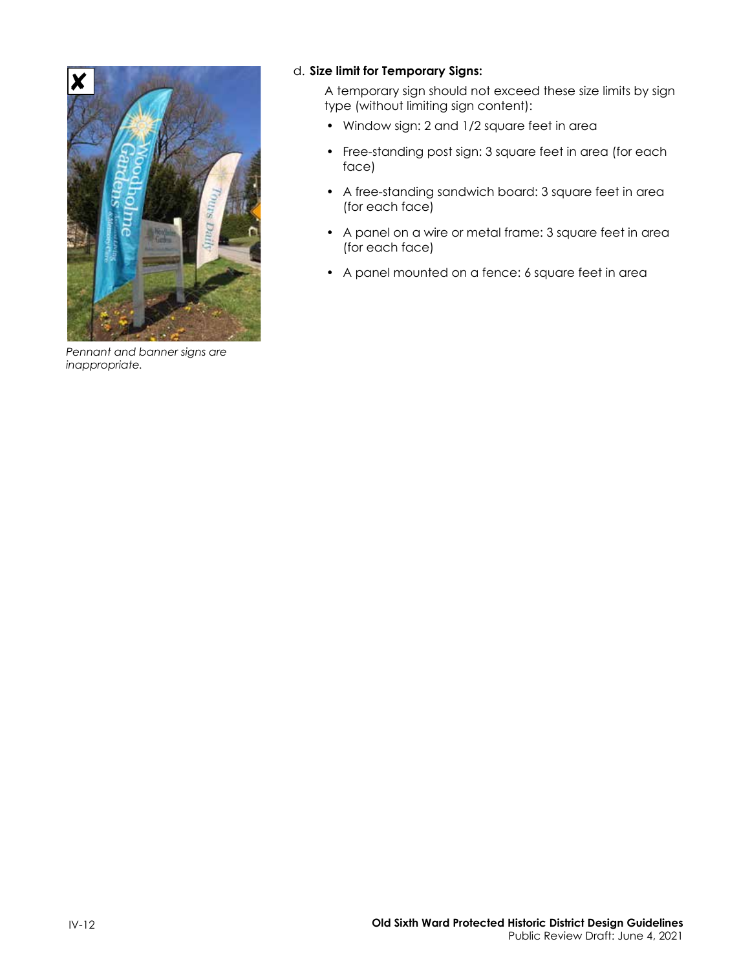

*Pennant and banner signs are inappropriate.*

#### d. **Size limit for Temporary Signs:**

A temporary sign should not exceed these size limits by sign type (without limiting sign content):

- Window sign: 2 and 1/2 square feet in area
- Free-standing post sign: 3 square feet in area (for each face)
- A free-standing sandwich board: 3 square feet in area (for each face)
- A panel on a wire or metal frame: 3 square feet in area (for each face)
- A panel mounted on a fence: 6 square feet in area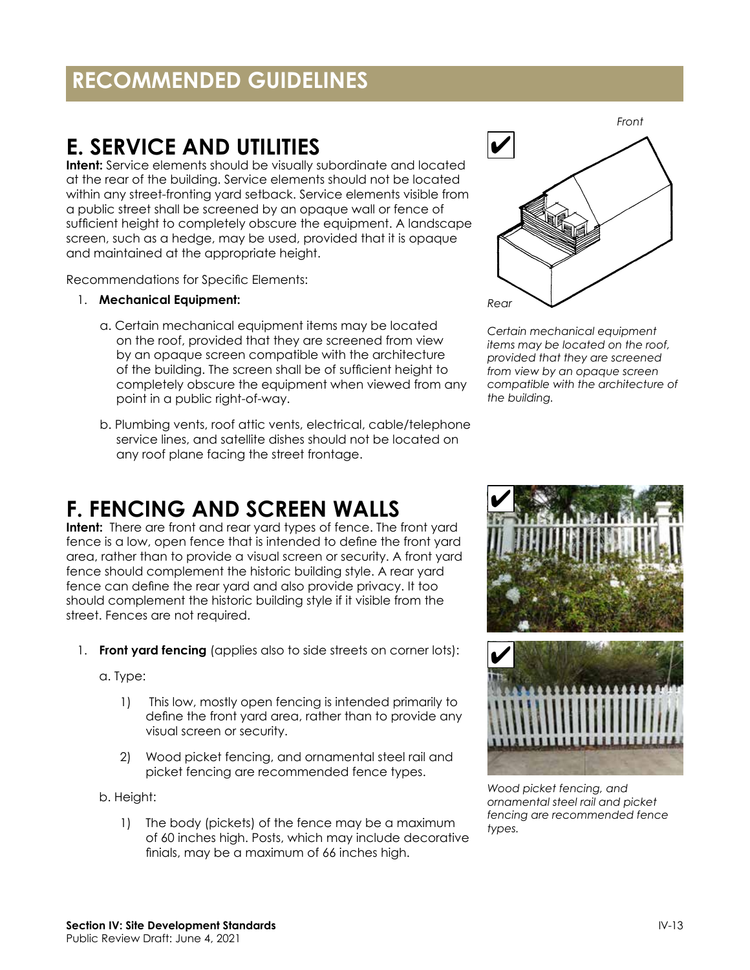### <span id="page-12-0"></span>**RECOMMENDED GUIDELINES**

### **E. SERVICE AND UTILITIES**

**Intent:** Service elements should be visually subordinate and located at the rear of the building. Service elements should not be located within any street-fronting yard setback. Service elements visible from a public street shall be screened by an opaque wall or fence of sufficient height to completely obscure the equipment. A landscape screen, such as a hedge, may be used, provided that it is opaque and maintained at the appropriate height.

Recommendations for Specific Elements:

- 1. **Mechanical Equipment:** 
	- a. Certain mechanical equipment items may be located on the roof, provided that they are screened from view by an opaque screen compatible with the architecture of the building. The screen shall be of sufficient height to completely obscure the equipment when viewed from any point in a public right-of-way.
	- b. Plumbing vents, roof attic vents, electrical, cable/telephone service lines, and satellite dishes should not be located on any roof plane facing the street frontage.



*Certain mechanical equipment items may be located on the roof, provided that they are screened from view by an opaque screen compatible with the architecture of the building.*

### **F. FENCING AND SCREEN WALLS**

**Intent:** There are front and rear yard types of fence. The front yard fence is a low, open fence that is intended to define the front yard area, rather than to provide a visual screen or security. A front yard fence should complement the historic building style. A rear yard fence can define the rear yard and also provide privacy. It too should complement the historic building style if it visible from the street. Fences are not required.

1. **Front yard fencing** (applies also to side streets on corner lots):

a. Type:

- 1) This low, mostly open fencing is intended primarily to define the front yard area, rather than to provide any visual screen or security.
- 2) Wood picket fencing, and ornamental steel rail and picket fencing are recommended fence types.

b. Height:

1) The body (pickets) of the fence may be a maximum of 60 inches high. Posts, which may include decorative finials, may be a maximum of 66 inches high.



*Wood picket fencing, and ornamental steel rail and picket fencing are recommended fence types.*